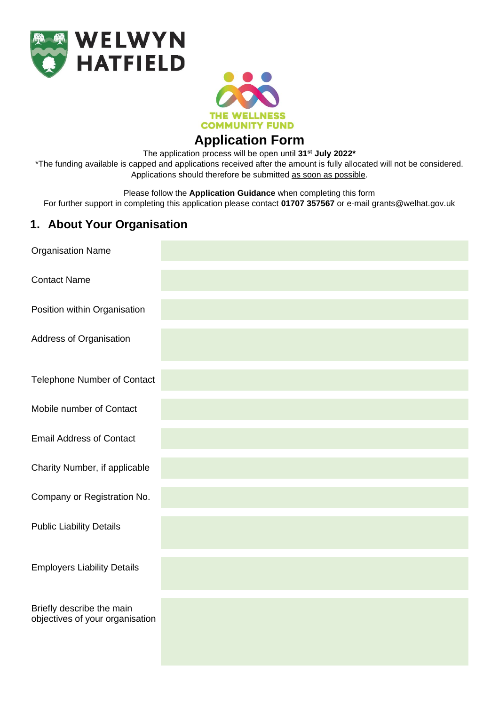



**Application Form**

The application process will be open until **31st July 2022\*** 

\*The funding available is capped and applications received after the amount is fully allocated will not be considered. Applications should therefore be submitted as soon as possible.

Please follow the **Application Guidance** when completing this form

For further support in completing this application please contact **01707 357567** or e-mail grants@welhat.gov.uk

## **1. About Your Organisation**

| <b>Organisation Name</b>                                     |  |
|--------------------------------------------------------------|--|
| <b>Contact Name</b>                                          |  |
| Position within Organisation                                 |  |
| Address of Organisation                                      |  |
| <b>Telephone Number of Contact</b>                           |  |
| Mobile number of Contact                                     |  |
| <b>Email Address of Contact</b>                              |  |
| Charity Number, if applicable                                |  |
| Company or Registration No.                                  |  |
| <b>Public Liability Details</b>                              |  |
| <b>Employers Liability Details</b>                           |  |
| Briefly describe the main<br>objectives of your organisation |  |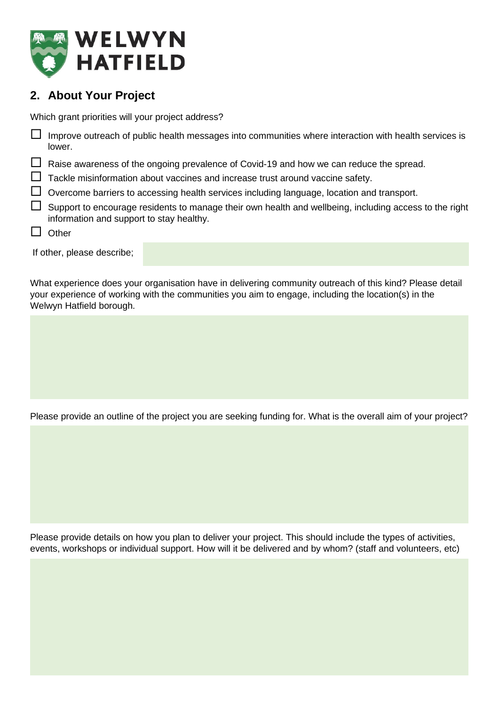

# **2. About Your Project**

Which grant priorities will your project address?

| $\Box$ Improve outreach of public health messages into communities where interaction with health services is<br>lower. |
|------------------------------------------------------------------------------------------------------------------------|
| $\Box$ Raise awareness of the ongoing prevalence of Covid-19 and how we can reduce the spread.                         |
| $\Box$ Tackle misinformation about vaccines and increase trust around vaccine safety.                                  |
| $\Box$ Overcome barriers to accessing health services including language, location and transport.                      |
| $\Box$ Our contractive as a second order to recognize their curs health and unlikely including concepts the sight      |

- $\Box$  Support to encourage residents to manage their own health and wellbeing, including access to the right information and support to stay healthy.
- $\Box$  Other

If other, please describe;

What experience does your organisation have in delivering community outreach of this kind? Please detail your experience of working with the communities you aim to engage, including the location(s) in the Welwyn Hatfield borough.

Please provide an outline of the project you are seeking funding for. What is the overall aim of your project?

Please provide details on how you plan to deliver your project. This should include the types of activities, events, workshops or individual support. How will it be delivered and by whom? (staff and volunteers, etc)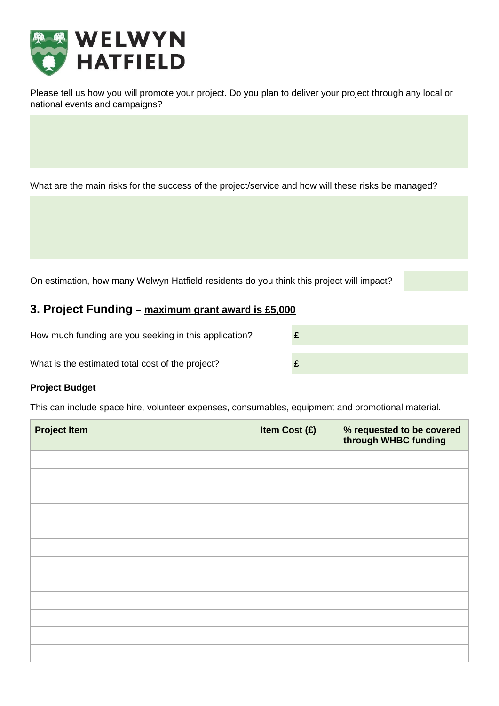

Please tell us how you will promote your project. Do you plan to deliver your project through any local or national events and campaigns?

What are the main risks for the success of the project/service and how will these risks be managed?

On estimation, how many Welwyn Hatfield residents do you think this project will impact?

### **3. Project Funding – maximum grant award is £5,000**

How much funding are you seeking in this application? **£** What is the estimated total cost of the project? **£**

#### **Project Budget**

This can include space hire, volunteer expenses, consumables, equipment and promotional material.

| <b>Project Item</b> | Item Cost (£) | % requested to be covered<br>through WHBC funding |
|---------------------|---------------|---------------------------------------------------|
|                     |               |                                                   |
|                     |               |                                                   |
|                     |               |                                                   |
|                     |               |                                                   |
|                     |               |                                                   |
|                     |               |                                                   |
|                     |               |                                                   |
|                     |               |                                                   |
|                     |               |                                                   |
|                     |               |                                                   |
|                     |               |                                                   |
|                     |               |                                                   |